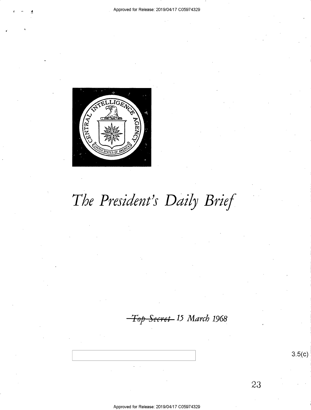

# The President's Daily Brief

Top Secret 15 March 1968

Approved for Release: 2019/04/17 C05974329

 $3.5(c)$ 

23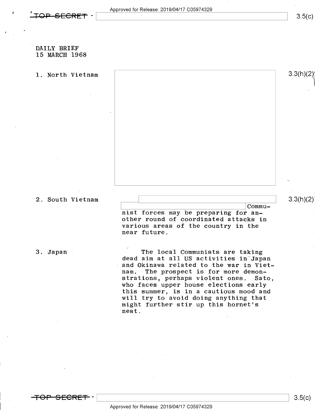## DAILY BRIEF 15 MARCH 1968

1. North Vietnam 1. 3.3(h)(2

## 2. South Vietnam  $\qquad \qquad$  3.3(h)(2)

Communist forces may be preparing for another round of coordinated attacks in various areas of the country in the near future.

3. Japan " The local Communists are taking dead aim at all US activities in Japan and Okinawa related to the war in Vietnam. The prospect is for more demon-<br>strations, perhaps violent ones. Sato, strations, perhaps violent ones. who faces upper house elections early this summer, is in a cautious mood and will try to avoid doing anything that might further stir up this hornet's lnest.



 $\overline{\phantom{a}}$   $\overline{\phantom{a}}$   $\overline{\phantom{a}}$   $\overline{\phantom{a}}$   $\overline{\phantom{a}}$   $\overline{\phantom{a}}$   $\overline{\phantom{a}}$   $\overline{\phantom{a}}$   $\overline{\phantom{a}}$   $\overline{\phantom{a}}$   $\overline{\phantom{a}}$   $\overline{\phantom{a}}$   $\overline{\phantom{a}}$   $\overline{\phantom{a}}$   $\overline{\phantom{a}}$   $\overline{\phantom{a}}$   $\overline{\phantom{a}}$   $\overline{\phantom{a}}$   $\overline{\$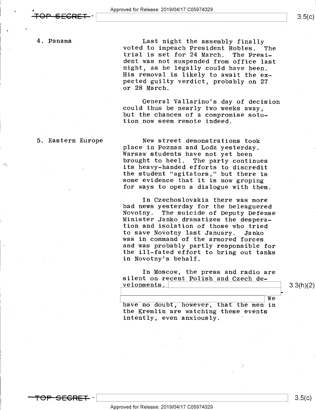4. Panama

Last night the assembly finally<br>voted to impeach President Robles. The<br>trial is set for 24 March. The President was not suspended from office last night, as he legally could have been.<br>His removal is likely to await the expected guilty verdict, probably on 27 or 28 March.

General Vallarino's day of decision<br>could thus be nearly two weeks away,<br>but the chances of a compromise solu-<br>tion now seem remote indeed.

### 5. Eastern Europe

. The contract of the contract of the contract of the contract of the contract of the contract of the contract of the contract of the contract of the contract of the contract of the contract of the contract of the contrac

 $SFGRET -$ 

New street demonstrations took<br>place in Poznan and Lodz yesterday.<br>Warsaw students have not yet been<br>brought to heel. The party continues its heavy-handed efforts to discredit the student "agitators," but there is some evidence that it is now groping for ways to open a dialogue with them.

In Czechoslovakia there was more<br>bad news yesterday for the beleaguered<br>Novotny. The suicide of Deputy Defense Minister Janko dramatizes the desperation and isolation of those who tried<br>to save Novotny last January. Janko was in command of the armored forces<br>and was probably partly responsible for the ill-fated effort to bring out tanks in Novotny's behalf.

In Moscow, the press and radio are silent on recent Polish and Czech developments.\

3.3(h)(2)

F

 $\begin{array}{|c|c|c|c|}\n\hline\n\text{have no doubt, however, that the men in}\n\end{array}$ the Kremlin are watching these events intently, even anxiously. '

< Approved for Release: 2019/O4/17 CO5974329

 $3.5(c)$ 

\ \ 3.5(c)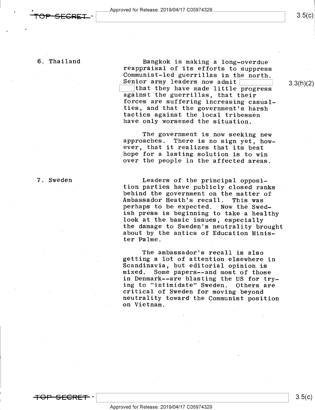6. Thailand Bangkok is making a long-overdue reappraisal of its efforts to suppress<br>Communist-led guerrillas in the north. Communist-led guerrillas in the north. Senior army leaders now admit [:::::::j 3jxhX2) K::1that they have made little progress against the guerrillas, that their forces are suffering increasing casualtactics against the local tribesmen<br>have only worsened the situation.

> The government is now seeking new<br>approaches. There is no sign yet, how-<br>ever, that it realizes that its best hope for a lasting solution is to win over the people in the affected areas.

7. Sweden ... Leaders of the principal opposi-<br>tion parties have publicly closed ranks<br>behind the government on the matter of<br>Ambassador Heath's recall. This was<br>perhaps to be expected. Now the Swed-<br>ish press is beginning look at the basic issues, especially<br>the damage to Sweden's neutrality brought<br>about by the antics of Education Minister Palme.

> The ambassador's recall is also getting a lot of attention elsewhere in Scandinavia, but editorial opinion is<br>mixed. Some papers--and most of those<br>in Denmark--are blasting the US for trying to "intimidate" Sweden. Others are critical of Sweden for moving beyond neutrality toward the Communist position on Vietnam.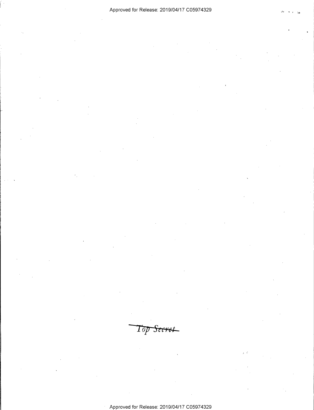Top Secret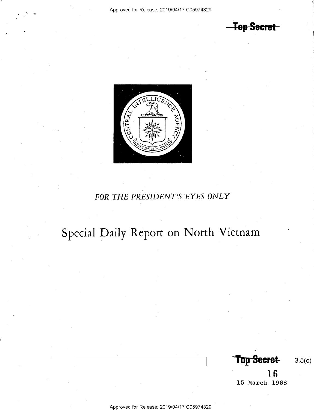-Top Secret



# FOR THE PRESIDENT'S EYES ONLY

# Special Daily Report on North Vietnam

Top Secret 3.5(c)

1 6 15 March 1968

Approved for Release: 2019/O4/17 CO5974329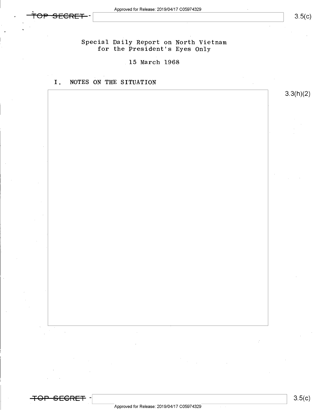Special Daily Report on North Vietnam for the President's Eyes Only

15 March 1968

# I. NOTES ON THE SITUATION

3.3(h)(2)

<del>-TOP\_SECRET</del> -|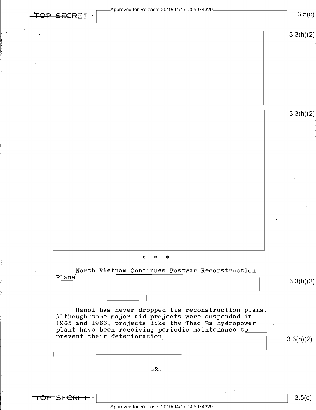$3.5(c)$ 

 $\sim$  3.3(h)(z)

3.3(h)(2)

 $\ast$ 

North Vietnam Continues Postwar Reconstruction Plans

3.3(h)(2)

I

Hanoi has never dropped its reconstruction plans. Although some major aid projects were suspended in 1965 and 1966, projects like the Thac Ba hydropower plant have been receiving periodic maintenance to prevent their deterioration,  $3.3(h)(2)$ 

 $-2-$ 

<del>TOP SECRET</del> –

Approved for Release: 2019/O4/17 CO5974329

 $\frac{1}{2}$  s.5(c)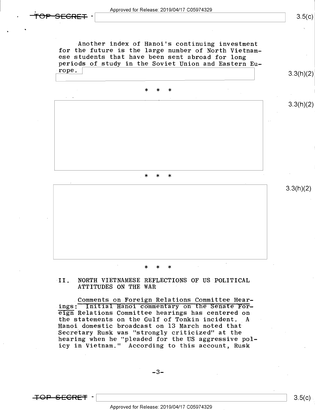<del>SFCRFT</del>

 $3.5(c)$ 



### \* \* \*

# sII. NORTH VIETNAMESE REFLECTIONS OF US POLITICAL ATTITUDES ON THE WAR '

Comments on Foreign Relations Committee Hearings: Initial Hanoi commentary on the Senate Foreign Relations Committee hearings has centered on the statements on the Gulf of Tonkin incident. A Hanoi domestic broadcast on 13 March noted that Secretary Rusk was "strongly criticized" at the hearing when he "pleaded for the US aggressive policy in Vietnam." According to this account, Rusk

-3-

 $\overline{+}$ OP SEGRET -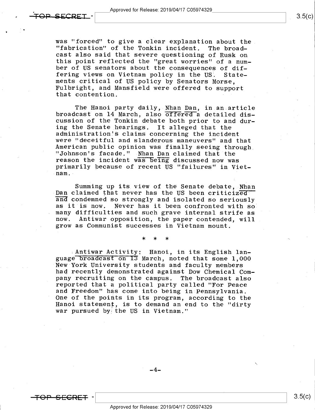was "forced" to give a clear explanation about the<br>"fabrication" of the Tonkin incident. The broad-<br>cast also said that severe questioning of Rusk on this point reflected the "great worries" of a number of US senators about the consequences of dif-<br>fering views on Vietnam policy in the US. Statements critical of US policy by Senators Morse,<br>Fulbright, and Mansfield were offered to support that contention.

The Hanoi party daily, Nhan Dan, in an article broadcast on 14 March, also  $\overline{offered}$  a detailed dis- cussion of the Tonkin debate both prior to and dur-<br>ing the Senate hearings. It alleged that the administration's claims concerning the incident<br>were "deceitful and slanderous maneuvers" and that<br>American public opinion was finally seeing through<br>"Johnson's facade." Nhan Dan claimed that the<br>reason the incident was be nam.-

Summing up its view of the Senate debate, Nhan<br>Dan claimed that never has the US been criticized\*<br>and condemned so strongly and isolated so seriously as it is now. Never has it been confronted with so many difficulties and such grave internal strife as grow as Communist successes in Vietnam mount.

\* \* \*

Antiwar Activity: Hanoi, in its English lan-<br>guage broadcast on I3 March, noted that some 1,000 'New York University students and faculty members had recently demonstrated against Dow Chemical Com-<br>pany recruiting on the campus. The broadcast also reported that a political party called "For Peace<br>and Freedom" has come into being in Pennsylvania.<br>One of the points in its program, according to the Hanoi statement, is to demand an end to the "dirty war pursued by the US in Vietnam."

\_4\_

\